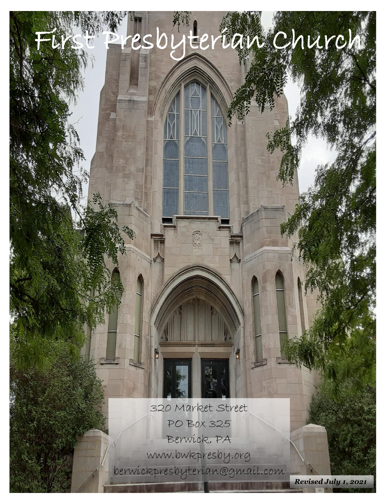320 Market Street PO Box 325 Berwick, PA [www.bwkpresby.org](http://www.bwkpresby.org/) berwickpresbyterian@gmail.com

Sresbyterian Church

*Revised July 1, 2021*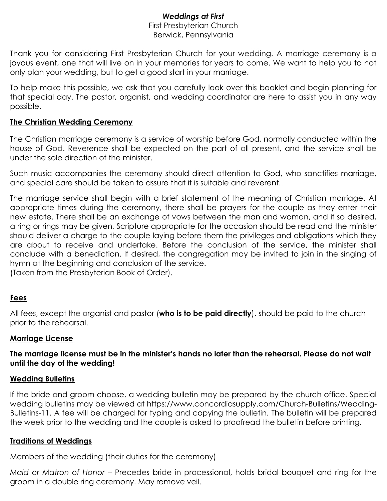# *Weddings at First*

#### First Presbyterian Church Berwick, Pennsylvania

Thank you for considering First Presbyterian Church for your wedding. A marriage ceremony is a joyous event, one that will live on in your memories for years to come. We want to help you to not only plan your wedding, but to get a good start in your marriage.

To help make this possible, we ask that you carefully look over this booklet and begin planning for that special day. The pastor, organist, and wedding coordinator are here to assist you in any way possible.

# **The Christian Wedding Ceremony**

The Christian marriage ceremony is a service of worship before God, normally conducted within the house of God. Reverence shall be expected on the part of all present, and the service shall be under the sole direction of the minister.

Such music accompanies the ceremony should direct attention to God, who sanctifies marriage, and special care should be taken to assure that it is suitable and reverent.

The marriage service shall begin with a brief statement of the meaning of Christian marriage. At appropriate times during the ceremony, there shall be prayers for the couple as they enter their new estate. There shall be an exchange of vows between the man and woman, and if so desired, a ring or rings may be given, Scripture appropriate for the occasion should be read and the minister should deliver a charge to the couple laying before them the privileges and obligations which they are about to receive and undertake. Before the conclusion of the service, the minister shall conclude with a benediction. If desired, the congregation may be invited to join in the singing of hymn at the beginning and conclusion of the service.

(Taken from the Presbyterian Book of Order).

# **Fees**

All fees, except the organist and pastor (**who is to be paid directly**), should be paid to the church prior to the rehearsal.

# **Marriage License**

**The marriage license must be in the minister's hands no later than the rehearsal. Please do not wait until the day of the wedding!**

# **Wedding Bulletins**

If the bride and groom choose, a wedding bulletin may be prepared by the church office. Special wedding bulletins may be viewed at https://www.concordiasupply.com/Church-Bulletins/Wedding-Bulletins-11. A fee will be charged for typing and copying the bulletin. The bulletin will be prepared the week prior to the wedding and the couple is asked to proofread the bulletin before printing.

# **Traditions of Weddings**

Members of the wedding (their duties for the ceremony)

*Maid or Matron of Honor* – Precedes bride in processional, holds bridal bouquet and ring for the groom in a double ring ceremony. May remove veil.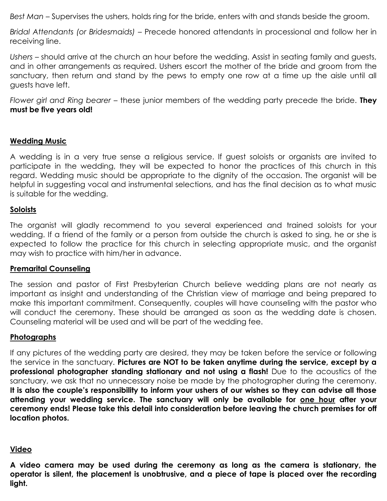*Best Man* – Supervises the ushers, holds ring for the bride, enters with and stands beside the groom.

*Bridal Attendants (or Bridesmaids)* – Precede honored attendants in processional and follow her in receiving line.

*Ushers* – should arrive at the church an hour before the wedding. Assist in seating family and guests, and in other arrangements as required. Ushers escort the mother of the bride and groom from the sanctuary, then return and stand by the pews to empty one row at a time up the aisle until all guests have left.

*Flower girl and Ring bearer* – these junior members of the wedding party precede the bride. **They must be five years old!**

# **Wedding Music**

A wedding is in a very true sense a religious service. If guest soloists or organists are invited to participate in the wedding, they will be expected to honor the practices of this church in this regard. Wedding music should be appropriate to the dignity of the occasion. The organist will be helpful in suggesting vocal and instrumental selections, and has the final decision as to what music is suitable for the wedding.

# **Soloists**

The organist will gladly recommend to you several experienced and trained soloists for your wedding. If a friend of the family or a person from outside the church is asked to sing, he or she is expected to follow the practice for this church in selecting appropriate music, and the organist may wish to practice with him/her in advance.

# **Premarital Counseling**

The session and pastor of First Presbyterian Church believe wedding plans are not nearly as important as insight and understanding of the Christian view of marriage and being prepared to make this important commitment. Consequently, couples will have counseling with the pastor who will conduct the ceremony. These should be arranged as soon as the wedding date is chosen. Counseling material will be used and will be part of the wedding fee.

#### **Photographs**

If any pictures of the wedding party are desired, they may be taken before the service or following the service in the sanctuary. **Pictures are NOT to be taken anytime during the service, except by a professional photographer standing stationary and not using a flash!** Due to the acoustics of the sanctuary, we ask that no unnecessary noise be made by the photographer during the ceremony. **It is also the couple's responsibility to inform your ushers of our wishes so they can advise all those attending your wedding service. The sanctuary will only be available for one hour after your ceremony ends! Please take this detail into consideration before leaving the church premises for off location photos.**

#### **Video**

**A video camera may be used during the ceremony as long as the camera is stationary, the operator is silent, the placement is unobtrusive, and a piece of tape is placed over the recording light.**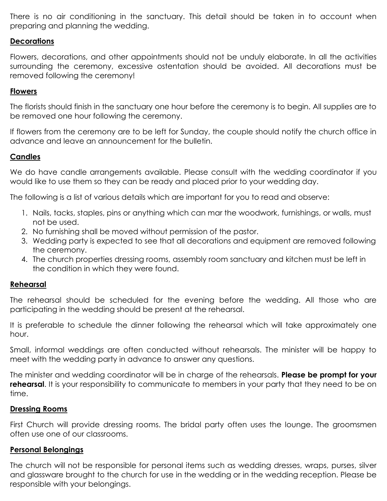There is no air conditioning in the sanctuary. This detail should be taken in to account when preparing and planning the wedding.

### **Decorations**

Flowers, decorations, and other appointments should not be unduly elaborate. In all the activities surrounding the ceremony, excessive ostentation should be avoided. All decorations must be removed following the ceremony!

#### **Flowers**

The florists should finish in the sanctuary one hour before the ceremony is to begin. All supplies are to be removed one hour following the ceremony.

If flowers from the ceremony are to be left for Sunday, the couple should notify the church office in advance and leave an announcement for the bulletin.

#### **Candles**

We do have candle arrangements available. Please consult with the wedding coordinator if you would like to use them so they can be ready and placed prior to your wedding day.

The following is a list of various details which are important for you to read and observe:

- 1. Nails, tacks, staples, pins or anything which can mar the woodwork, furnishings, or walls, must not be used.
- 2. No furnishing shall be moved without permission of the pastor.
- 3. Wedding party is expected to see that all decorations and equipment are removed following the ceremony.
- 4. The church properties dressing rooms, assembly room sanctuary and kitchen must be left in the condition in which they were found.

#### **Rehearsal**

The rehearsal should be scheduled for the evening before the wedding. All those who are participating in the wedding should be present at the rehearsal.

It is preferable to schedule the dinner following the rehearsal which will take approximately one hour.

Small, informal weddings are often conducted without rehearsals. The minister will be happy to meet with the wedding party in advance to answer any questions.

The minister and wedding coordinator will be in charge of the rehearsals. **Please be prompt for your rehearsal**. It is your responsibility to communicate to members in your party that they need to be on time.

#### **Dressing Rooms**

First Church will provide dressing rooms. The bridal party often uses the lounge. The groomsmen often use one of our classrooms.

#### **Personal Belongings**

The church will not be responsible for personal items such as wedding dresses, wraps, purses, silver and glassware brought to the church for use in the wedding or in the wedding reception. Please be responsible with your belongings.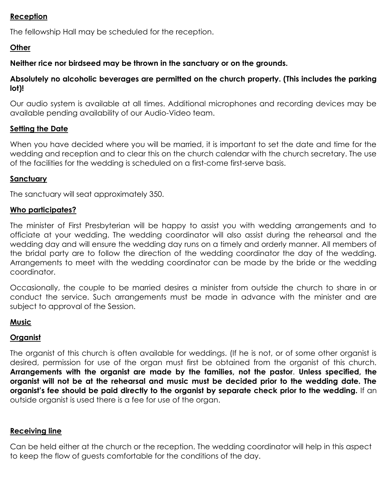# **Reception**

The fellowship Hall may be scheduled for the reception.

# **Other**

# **Neither rice nor birdseed may be thrown in the sanctuary or on the grounds.**

# **Absolutely no alcoholic beverages are permitted on the church property. (This includes the parking lot)!**

Our audio system is available at all times. Additional microphones and recording devices may be available pending availability of our Audio-Video team.

# **Setting the Date**

When you have decided where you will be married, it is important to set the date and time for the wedding and reception and to clear this on the church calendar with the church secretary. The use of the facilities for the wedding is scheduled on a first-come first-serve basis.

# **Sanctuary**

The sanctuary will seat approximately 350.

# **Who participates?**

The minister of First Presbyterian will be happy to assist you with wedding arrangements and to officiate at your wedding. The wedding coordinator will also assist during the rehearsal and the wedding day and will ensure the wedding day runs on a timely and orderly manner. All members of the bridal party are to follow the direction of the wedding coordinator the day of the wedding. Arrangements to meet with the wedding coordinator can be made by the bride or the wedding coordinator.

Occasionally, the couple to be married desires a minister from outside the church to share in or conduct the service. Such arrangements must be made in advance with the minister and are subject to approval of the Session.

# **Music**

# **Organist**

The organist of this church is often available for weddings. (If he is not, or of some other organist is desired, permission for use of the organ must first be obtained from the organist of this church. **Arrangements with the organist are made by the families, not the pastor**. **Unless specified, the organist will not be at the rehearsal and music must be decided prior to the wedding date. The organist's fee should be paid directly to the organist by separate check prior to the wedding.** If an outside organist is used there is a fee for use of the organ.

# **Receiving line**

Can be held either at the church or the reception. The wedding coordinator will help in this aspect to keep the flow of guests comfortable for the conditions of the day.